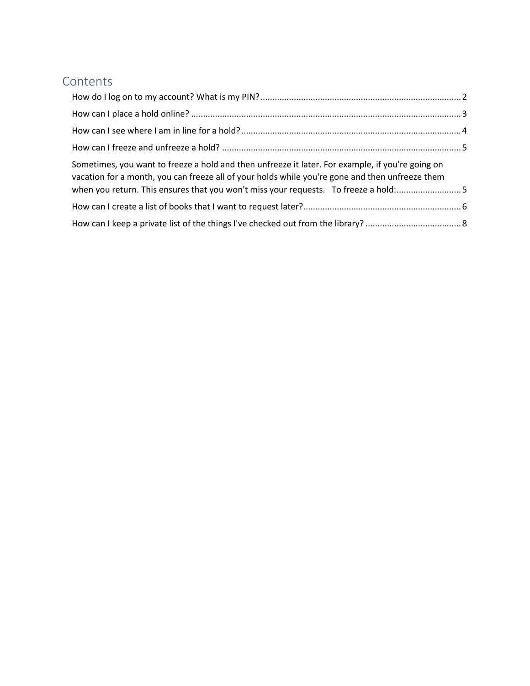# **Contents**

| Sometimes, you want to freeze a hold and then unfreeze it later. For example, if you're going on<br>vacation for a month, you can freeze all of your holds while you're gone and then unfreeze them<br>when you return. This ensures that you won't miss your requests. To freeze a hold:5 |  |
|--------------------------------------------------------------------------------------------------------------------------------------------------------------------------------------------------------------------------------------------------------------------------------------------|--|
|                                                                                                                                                                                                                                                                                            |  |
|                                                                                                                                                                                                                                                                                            |  |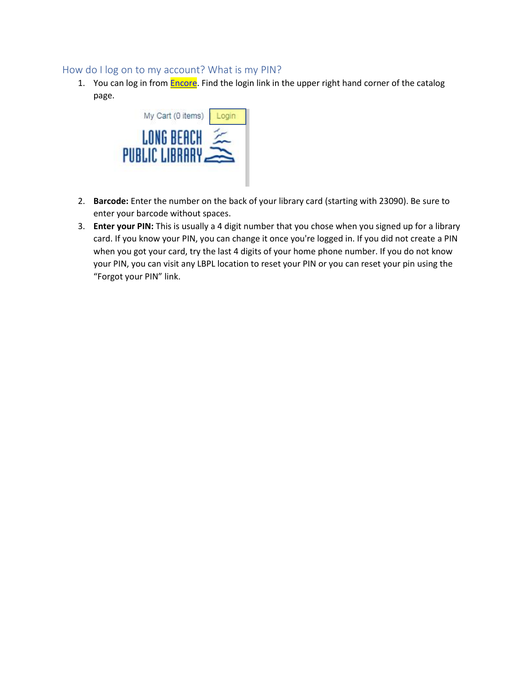### <span id="page-1-0"></span>How do I log on to my account? What is my PIN?

1. You can log in from **Encore**. Find the login link in the upper right hand corner of the catalog page.



- 2. **Barcode:** Enter the number on the back of your library card (starting with 23090). Be sure to enter your barcode without spaces.
- 3. **Enter your PIN:** This is usually a 4 digit number that you chose when you signed up for a library card. If you know your PIN, you can change it once you're logged in. If you did not create a PIN when you got your card, try the last 4 digits of your home phone number. If you do not know your PIN, you can visit any LBPL location to reset your PIN or you can reset your pin using the "Forgot your PIN" link.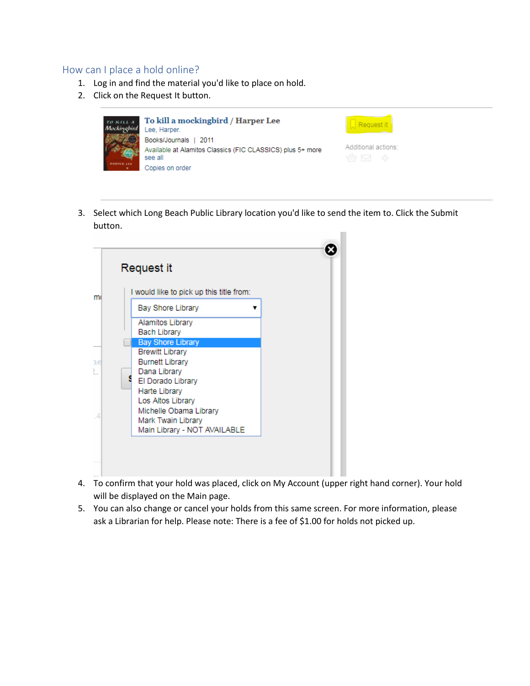#### <span id="page-2-0"></span>How can I place a hold online?

- 1. Log in and find the material you'd like to place on hold.
- 2. Click on the Request It button.

| TO KILL A<br>Mockinobird | To kill a mockingbird / Harper Lee<br>Lee, Harper.                                                                |                              |
|--------------------------|-------------------------------------------------------------------------------------------------------------------|------------------------------|
|                          | Books/Journals   2011<br>Available at Alamitos Classics (FIC CLASSICS) plus 5+ more<br>see all<br>Copies on order | Additional actions:<br>命 冈 命 |

3. Select which Long Beach Public Library location you'd like to send the item to. Click the Submit button.



- 4. To confirm that your hold was placed, click on My Account (upper right hand corner). Your hold will be displayed on the Main page.
- 5. You can also change or cancel your holds from this same screen. For more information, please ask a Librarian for help. Please note: There is a fee of \$1.00 for holds not picked up.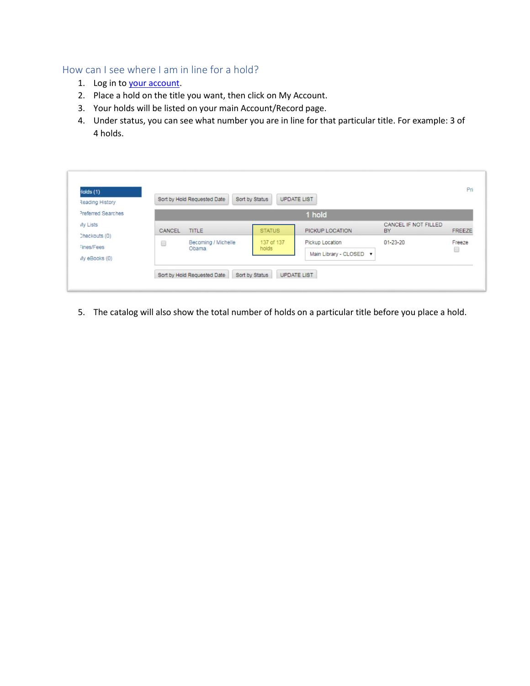## <span id="page-3-0"></span>How can I see where I am in line for a hold?

- 1. [Log in](https://encore.lbpl.org/iii/) to [your account.](https://encore.lbpl.org/iii/encore/myaccount?lang=eng&suite=pearl)
- 2. Place a hold on the title you want, then click on My Account.
- 3. Your holds will be listed on your main Account/Record page.
- 4. Under status, you can see what number you are in line for that particular title. For example: 3 of 4 holds.

| Reading History                              |        | Sort by Hold Requested Date   | Sort by Status      | <b>UPDATE LIST</b>                         |                            |             |
|----------------------------------------------|--------|-------------------------------|---------------------|--------------------------------------------|----------------------------|-------------|
| Preferred Searches                           |        |                               |                     | 1 hold                                     |                            |             |
| My Lists                                     | CANCEL | <b>TITLE</b>                  | <b>STATUS</b>       | PICKUP LOCATION                            | CANCEL IF NOT FILLED<br>BY | FREEZE      |
| Checkouts (0)<br>Fines/Fees<br>Wy eBooks (0) | 0      | Becoming / Michelle<br>Obama. | 137 of 137<br>holds | Pickup Location<br>Main Library - CLOSED V | $01 - 23 - 20$             | Freeze<br>8 |

5. The catalog will also show the total number of holds on a particular title before you place a hold.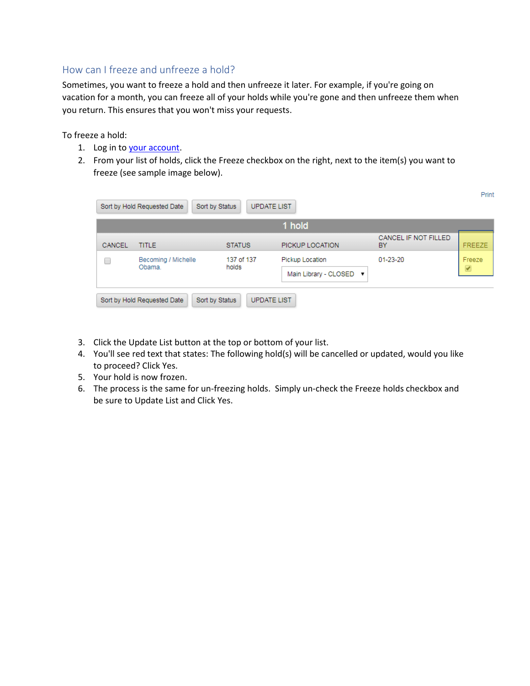### <span id="page-4-0"></span>How can I freeze and unfreeze a hold?

<span id="page-4-1"></span>Sometimes, you want to freeze a hold and then unfreeze it later. For example, if you're going on vacation for a month, you can freeze all of your holds while you're gone and then unfreeze them when you return. This ensures that you won't miss your requests.

To freeze a hold:

- 1. [Log in](https://encore.lbpl.org/iii/) to [your account.](https://encore.lbpl.org/iii/encore/myaccount?lang=eng&suite=pearl)
- 2. From your list of holds, click the Freeze checkbox on the right, next to the item(s) you want to freeze (see sample image below).

|        |                               |                     | 1 hold                  |                            |               |
|--------|-------------------------------|---------------------|-------------------------|----------------------------|---------------|
| CANCEL | <b>TITLE</b>                  | <b>STATUS</b>       | PICKUP LOCATION         | CANCEL IF NOT FILLED<br>BY | <b>FREEZE</b> |
| L      | Becoming / Michelle<br>Obama. | 137 of 137<br>holds | Pickup Location         | $01 - 23 - 20$             | Freeze        |
|        |                               |                     | Main Library - CLOSED ▼ |                            | ✔             |

- 3. Click the Update List button at the top or bottom of your list.
- 4. You'll see red text that states: The following hold(s) will be cancelled or updated, would you like to proceed? Click Yes.
- 5. Your hold is now frozen.
- 6. The process is the same for un-freezing holds. Simply un-check the Freeze holds checkbox and be sure to Update List and Click Yes.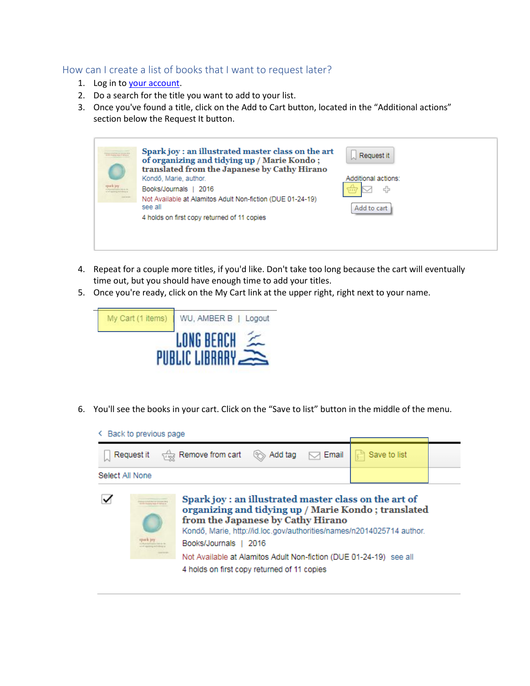### <span id="page-5-0"></span>How can I create a list of books that I want to request later?

- 1. [Log in](https://encore.lbpl.org/iii/) to [your account.](https://encore.lbpl.org/iii/encore/myaccount?lang=eng&suite=pearl)
- 2. Do a search for the title you want to add to your list.
- 3. Once you've found a title, click on the Add to Cart button, located in the "Additional actions" section below the Request It button.

|                | Spark joy: an illustrated master class on the art<br>of organizing and tidying up / Marie Kondo;<br>translated from the Japanese by Cathy Hirano | $\lfloor \cdot \rfloor$ Request it |
|----------------|--------------------------------------------------------------------------------------------------------------------------------------------------|------------------------------------|
|                | Kondō, Marie, author.                                                                                                                            | Additional actions:                |
| purk jay       | Books/Journals  <br>2016                                                                                                                         | 라<br><b>Vanni</b>                  |
| <b>COLLEGE</b> | Not Available at Alamitos Adult Non-fiction (DUE 01-24-19)<br>see all                                                                            | Add to cart                        |
|                | 4 holds on first copy returned of 11 copies                                                                                                      |                                    |
|                |                                                                                                                                                  |                                    |
|                |                                                                                                                                                  |                                    |

- 4. Repeat for a couple more titles, if you'd like. Don't take too long because the cart will eventually time out, but you should have enough time to add your titles.
- 5. Once you're ready, click on the My Cart link at the upper right, right next to your name.



- 6. You'll see the books in your cart. Click on the "Save to list" button in the middle of the menu.
	- < Back to previous page

| Request it          | $\sqrt{1+\frac{1}{2}}$ Remove from cart<br><b> <del> ■</del></b> Add tag <sub>→</sub> Email                                                                                                                                                                                                                               | <b>a</b> Save to list |  |
|---------------------|---------------------------------------------------------------------------------------------------------------------------------------------------------------------------------------------------------------------------------------------------------------------------------------------------------------------------|-----------------------|--|
| Select All None     |                                                                                                                                                                                                                                                                                                                           |                       |  |
| <b>James Alabam</b> | Spark joy: an illustrated master class on the art of<br>organizing and tidying up / Marie Kondo; translated<br>from the Japanese by Cathy Hirano<br>Kondō, Marie, http://id.loc.gov/authorities/names/n2014025714 author.<br>Books/Journals<br>2016<br>Not Available at Alamitos Adult Non-fiction (DUE 01-24-19) see all |                       |  |
|                     | 4 holds on first copy returned of 11 copies                                                                                                                                                                                                                                                                               |                       |  |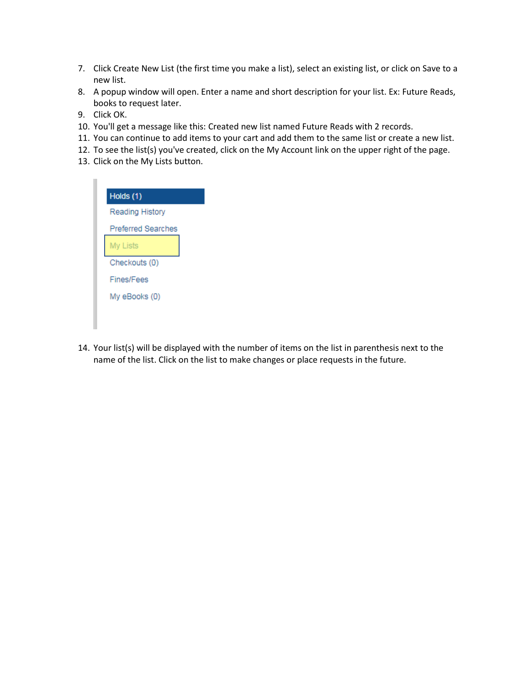- 7. Click Create New List (the first time you make a list), select an existing list, or click on Save to a new list.
- 8. A popup window will open. Enter a name and short description for your list. Ex: Future Reads, books to request later.
- 9. Click OK.
- 10. You'll get a message like this: Created new list named Future Reads with 2 records.
- 11. You can continue to add items to your cart and add them to the same list or create a new list.
- 12. To see the list(s) you've created, click on the My Account link on the upper right of the page.
- 13. Click on the My Lists button.

| Reading History<br><b>Preferred Searches</b><br><b>My Lists</b><br>Checkouts (0) |  |
|----------------------------------------------------------------------------------|--|
|                                                                                  |  |
|                                                                                  |  |
|                                                                                  |  |
|                                                                                  |  |
| Fines/Fees                                                                       |  |
| My eBooks (0)                                                                    |  |

14. Your list(s) will be displayed with the number of items on the list in parenthesis next to the name of the list. Click on the list to make changes or place requests in the future.